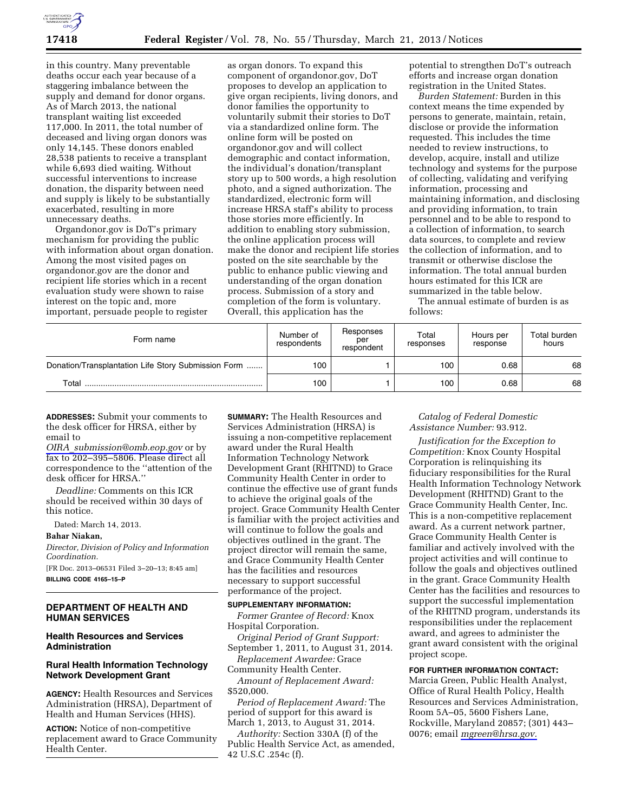

in this country. Many preventable deaths occur each year because of a staggering imbalance between the supply and demand for donor organs. As of March 2013, the national transplant waiting list exceeded 117,000. In 2011, the total number of deceased and living organ donors was only 14,145. These donors enabled 28,538 patients to receive a transplant while 6,693 died waiting. Without successful interventions to increase donation, the disparity between need and supply is likely to be substantially exacerbated, resulting in more unnecessary deaths.

Organdonor.gov is DoT's primary mechanism for providing the public with information about organ donation. Among the most visited pages on organdonor.gov are the donor and recipient life stories which in a recent evaluation study were shown to raise interest on the topic and, more important, persuade people to register

as organ donors. To expand this component of organdonor.gov, DoT proposes to develop an application to give organ recipients, living donors, and donor families the opportunity to voluntarily submit their stories to DoT via a standardized online form. The online form will be posted on organdonor.gov and will collect demographic and contact information, the individual's donation/transplant story up to 500 words, a high resolution photo, and a signed authorization. The standardized, electronic form will increase HRSA staff's ability to process those stories more efficiently. In addition to enabling story submission, the online application process will make the donor and recipient life stories posted on the site searchable by the public to enhance public viewing and understanding of the organ donation process. Submission of a story and completion of the form is voluntary. Overall, this application has the

potential to strengthen DoT's outreach efforts and increase organ donation registration in the United States.

*Burden Statement:* Burden in this context means the time expended by persons to generate, maintain, retain, disclose or provide the information requested. This includes the time needed to review instructions, to develop, acquire, install and utilize technology and systems for the purpose of collecting, validating and verifying information, processing and maintaining information, and disclosing and providing information, to train personnel and to be able to respond to a collection of information, to search data sources, to complete and review the collection of information, and to transmit or otherwise disclose the information. The total annual burden hours estimated for this ICR are summarized in the table below.

The annual estimate of burden is as follows:

| Form name                                           | Number of<br>respondents | Responses<br>per<br>respondent | Total<br>responses | Hours per<br>response | Total burden<br>hours |
|-----------------------------------------------------|--------------------------|--------------------------------|--------------------|-----------------------|-----------------------|
| Donation/Transplantation Life Story Submission Form | 100                      |                                | 100                | 0.68                  | 68                    |
| Total                                               | 100                      |                                | 100                | 0.68                  | 68                    |

**ADDRESSES:** Submit your comments to the desk officer for HRSA, either by email to

*OIRA*\_*[submission@omb.eop.gov](mailto:OIRA_submission@omb.eop.gov)* or by fax to 202–395–5806. Please direct all correspondence to the ''attention of the desk officer for HRSA.''

*Deadline:* Comments on this ICR should be received within 30 days of this notice.

Dated: March 14, 2013.

**Bahar Niakan,** 

*Director, Division of Policy and Information Coordination.* 

[FR Doc. 2013–06531 Filed 3–20–13; 8:45 am] **BILLING CODE 4165–15–P** 

## **DEPARTMENT OF HEALTH AND HUMAN SERVICES**

### **Health Resources and Services Administration**

# **Rural Health Information Technology Network Development Grant**

**AGENCY:** Health Resources and Services Administration (HRSA), Department of Health and Human Services (HHS).

**ACTION:** Notice of non-competitive replacement award to Grace Community Health Center.

**SUMMARY:** The Health Resources and Services Administration (HRSA) is issuing a non-competitive replacement award under the Rural Health Information Technology Network Development Grant (RHITND) to Grace Community Health Center in order to continue the effective use of grant funds to achieve the original goals of the project. Grace Community Health Center is familiar with the project activities and will continue to follow the goals and objectives outlined in the grant. The project director will remain the same, and Grace Community Health Center has the facilities and resources necessary to support successful performance of the project.

#### **SUPPLEMENTARY INFORMATION:**

*Former Grantee of Record:* Knox Hospital Corporation.

*Original Period of Grant Support:*  September 1, 2011, to August 31, 2014.

*Replacement Awardee:* Grace Community Health Center.

*Amount of Replacement Award:*  \$520,000.

*Period of Replacement Award:* The period of support for this award is March 1, 2013, to August 31, 2014.

*Authority:* Section 330A (f) of the Public Health Service Act, as amended, 42 U.S.C .254c (f).

*Catalog of Federal Domestic Assistance Number:* 93.912.

*Justification for the Exception to Competition:* Knox County Hospital Corporation is relinquishing its fiduciary responsibilities for the Rural Health Information Technology Network Development (RHITND) Grant to the Grace Community Health Center, Inc. This is a non-competitive replacement award. As a current network partner, Grace Community Health Center is familiar and actively involved with the project activities and will continue to follow the goals and objectives outlined in the grant. Grace Community Health Center has the facilities and resources to support the successful implementation of the RHITND program, understands its responsibilities under the replacement award, and agrees to administer the grant award consistent with the original project scope.

# **FOR FURTHER INFORMATION CONTACT:**

Marcia Green, Public Health Analyst, Office of Rural Health Policy, Health Resources and Services Administration, Room 5A–05, 5600 Fishers Lane, Rockville, Maryland 20857; (301) 443– 0076; email *[mgreen@hrsa.gov.](mailto:mgreen@hrsa.gov)*